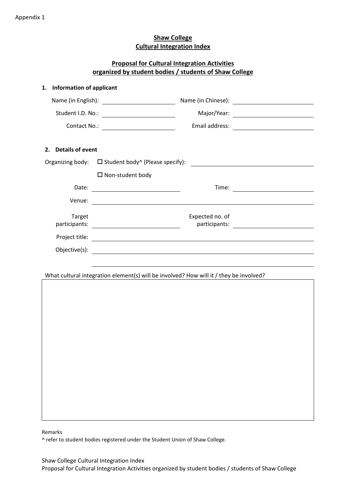# **Shaw College Cultural Integration Index**

|                                       | organized by student bodies / students of Shaw College                                 | <b>Proposal for Cultural Integration Activities</b> |  |
|---------------------------------------|----------------------------------------------------------------------------------------|-----------------------------------------------------|--|
| <b>Information of applicant</b><br>1. |                                                                                        |                                                     |  |
|                                       |                                                                                        |                                                     |  |
|                                       |                                                                                        |                                                     |  |
|                                       |                                                                                        |                                                     |  |
| <b>Details of event</b><br>2.         |                                                                                        |                                                     |  |
|                                       |                                                                                        |                                                     |  |
|                                       | $\Box$ Non-student body                                                                |                                                     |  |
|                                       |                                                                                        |                                                     |  |
|                                       |                                                                                        |                                                     |  |
| Target                                |                                                                                        | Expected no. of                                     |  |
|                                       |                                                                                        |                                                     |  |
|                                       | What cultural integration element(s) will be involved? How will it / they be involved? |                                                     |  |

Remarks

^ refer to student bodies registered under the Student Union of Shaw College.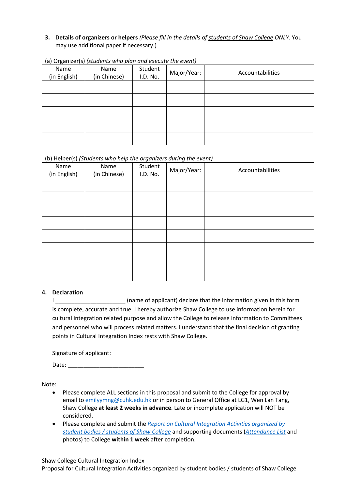## **3. Details of organizers or helpers** *(Please fill in the details of students of Shaw College ONLY.* You may use additional paper if necessary.)

| Name<br>(in English) | Name<br>(in Chinese) | Student<br>I.D. No. | Major/Year: | Accountabilities |
|----------------------|----------------------|---------------------|-------------|------------------|
|                      |                      |                     |             |                  |
|                      |                      |                     |             |                  |
|                      |                      |                     |             |                  |
|                      |                      |                     |             |                  |
|                      |                      |                     |             |                  |

(a) Organizer(s) *(students who plan and execute the event)*

#### (b) Helper(s) *(Students who help the organizers during the event)*

| . <i>.</i><br>Name<br>(in English) | $\cdot$<br>Name<br>(in Chinese) | $\tilde{\phantom{a}}$<br>Student<br>I.D. No. | $\tilde{\phantom{a}}$<br>Major/Year: | Accountabilities |
|------------------------------------|---------------------------------|----------------------------------------------|--------------------------------------|------------------|
|                                    |                                 |                                              |                                      |                  |
|                                    |                                 |                                              |                                      |                  |
|                                    |                                 |                                              |                                      |                  |
|                                    |                                 |                                              |                                      |                  |
|                                    |                                 |                                              |                                      |                  |
|                                    |                                 |                                              |                                      |                  |
|                                    |                                 |                                              |                                      |                  |
|                                    |                                 |                                              |                                      |                  |

#### **4. Declaration**

I \_\_\_\_\_\_\_\_\_\_\_\_\_\_\_\_\_\_\_\_\_\_\_\_\_(name of applicant) declare that the information given in this form is complete, accurate and true. I hereby authorize Shaw College to use information herein for cultural integration related purpose and allow the College to release information to Committees and personnel who will process related matters. I understand that the final decision of granting points in Cultural Integration Index rests with Shaw College.

Date:  $\Box$ 

Note:

- Please complete ALL sections in this proposal and submit to the College for approval by email to [emilyymng@cuhk.edu.hk](mailto:emilyymng@cuhk.edu.hk) or in person to General Office at LG1, Wen Lan Tang, Shaw College **at least 2 weeks in advance**. Late or incomplete application will NOT be considered.
- Please complete and submit the *Report on Cultural Integration Activities organized by student bodies / students of Shaw College* and supporting documents (*Attendance List* and photos) to College **within 1 week** after completion.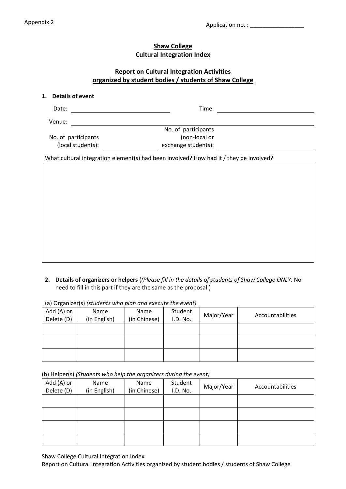## **Shaw College Cultural Integration Index**

# **Report on Cultural Integration Activities organized by student bodies / students of Shaw College**

#### **1. Details of event**

| Date:                                                                                  | Time:               |  |
|----------------------------------------------------------------------------------------|---------------------|--|
| Venue:                                                                                 |                     |  |
|                                                                                        | No. of participants |  |
| No. of participants                                                                    | (non-local or       |  |
| (local students):                                                                      | exchange students): |  |
| What cultural integration element(s) had been involved? How had it / they be involved? |                     |  |

**2. Details of organizers or helpers** (*(Please fill in the details of students of Shaw College ONLY.* No need to fill in this part if they are the same as the proposal.)

| (a) Organizer(s) istudents who piun und execute the event) |              |              |          |            |                  |  |  |
|------------------------------------------------------------|--------------|--------------|----------|------------|------------------|--|--|
| Add (A) or                                                 | Name         | Name         | Student  | Major/Year | Accountabilities |  |  |
| Delete (D)                                                 | (in English) | (in Chinese) | I.D. No. |            |                  |  |  |
|                                                            |              |              |          |            |                  |  |  |
|                                                            |              |              |          |            |                  |  |  |
|                                                            |              |              |          |            |                  |  |  |
|                                                            |              |              |          |            |                  |  |  |
|                                                            |              |              |          |            |                  |  |  |
|                                                            |              |              |          |            |                  |  |  |

(a) Organizer(s) *(students who plan and execute the event)*

(b) Helper(s) *(Students who help the organizers during the event)*

| Add (A) or<br>Delete (D) | Name<br>(in English) | Name<br>(in Chinese) | Student<br>I.D. No. | Major/Year | Accountabilities |
|--------------------------|----------------------|----------------------|---------------------|------------|------------------|
|                          |                      |                      |                     |            |                  |
|                          |                      |                      |                     |            |                  |
|                          |                      |                      |                     |            |                  |
|                          |                      |                      |                     |            |                  |

Shaw College Cultural Integration Index

Report on Cultural Integration Activities organized by student bodies / students of Shaw College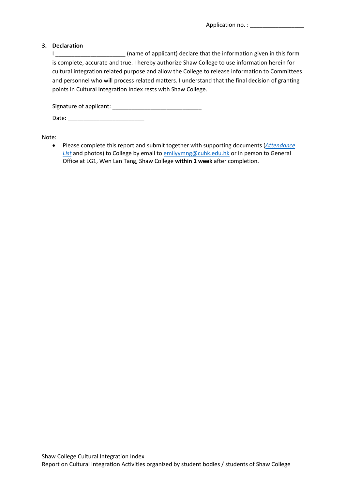Application no. : \_\_\_\_\_\_\_\_\_\_\_\_\_\_\_\_\_

#### **3. Declaration**

I \_\_\_\_\_\_\_\_\_\_\_\_\_\_\_\_\_\_\_\_\_\_\_\_ (name of applicant) declare that the information given in this form is complete, accurate and true. I hereby authorize Shaw College to use information herein for cultural integration related purpose and allow the College to release information to Committees and personnel who will process related matters. I understand that the final decision of granting points in Cultural Integration Index rests with Shaw College.

Signature of applicant: \_\_\_\_\_\_\_\_\_\_\_\_\_\_\_\_\_\_\_\_\_\_\_\_\_\_\_\_

Date: \_\_\_\_\_\_\_\_\_\_\_\_\_\_\_\_\_\_\_\_\_\_\_\_

Note:

• Please complete this report and submit together with supporting documents (*Attendance* **List** and photos) to College by email to **emilyymng@cuhk.edu.hk** or in person to General Office at LG1, Wen Lan Tang, Shaw College **within 1 week** after completion.